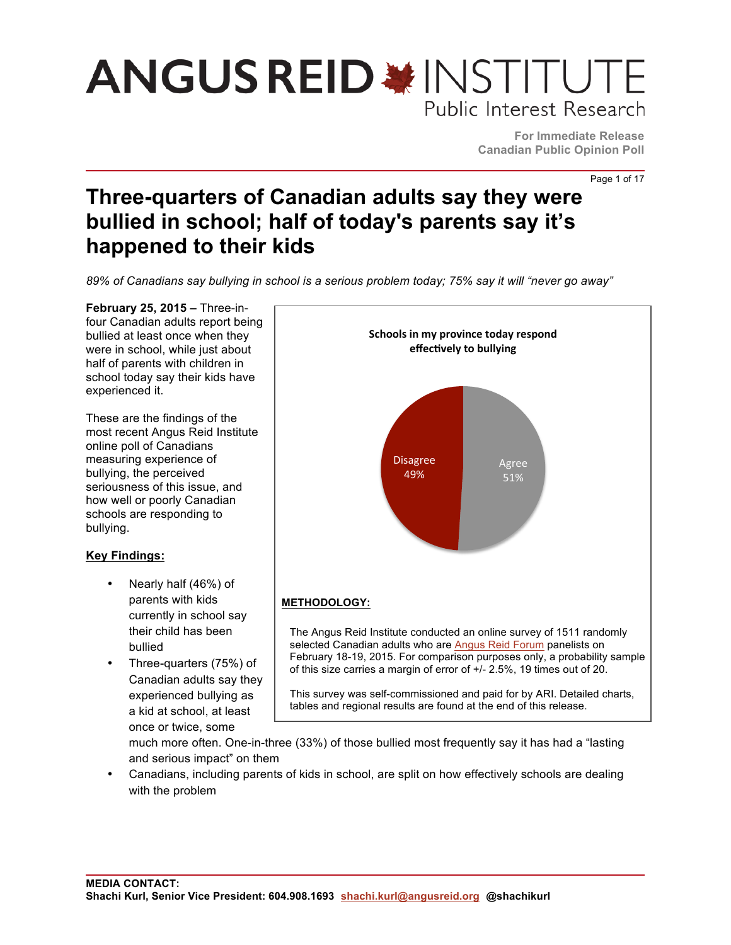**For Immediate Release Canadian Public Opinion Poll**

Page 1 of 17

### **Three-quarters of Canadian adults say they were bullied in school; half of today's parents say it's happened to their kids**

*89% of Canadians say bullying in school is a serious problem today; 75% say it will "never go away"*

**February 25, 2015 –** Three-infour Canadian adults report being bullied at least once when they were in school, while just about half of parents with children in school today say their kids have experienced it.

These are the findings of the most recent Angus Reid Institute online poll of Canadians measuring experience of bullying, the perceived seriousness of this issue, and how well or poorly Canadian schools are responding to bullying.

### **Key Findings:**

- Nearly half (46%) of parents with kids currently in school say their child has been bullied
- Three-quarters (75%) of Canadian adults say they experienced bullying as a kid at school, at least once or twice, some



much more often. One-in-three (33%) of those bullied most frequently say it has had a "lasting and serious impact" on them

• Canadians, including parents of kids in school, are split on how effectively schools are dealing with the problem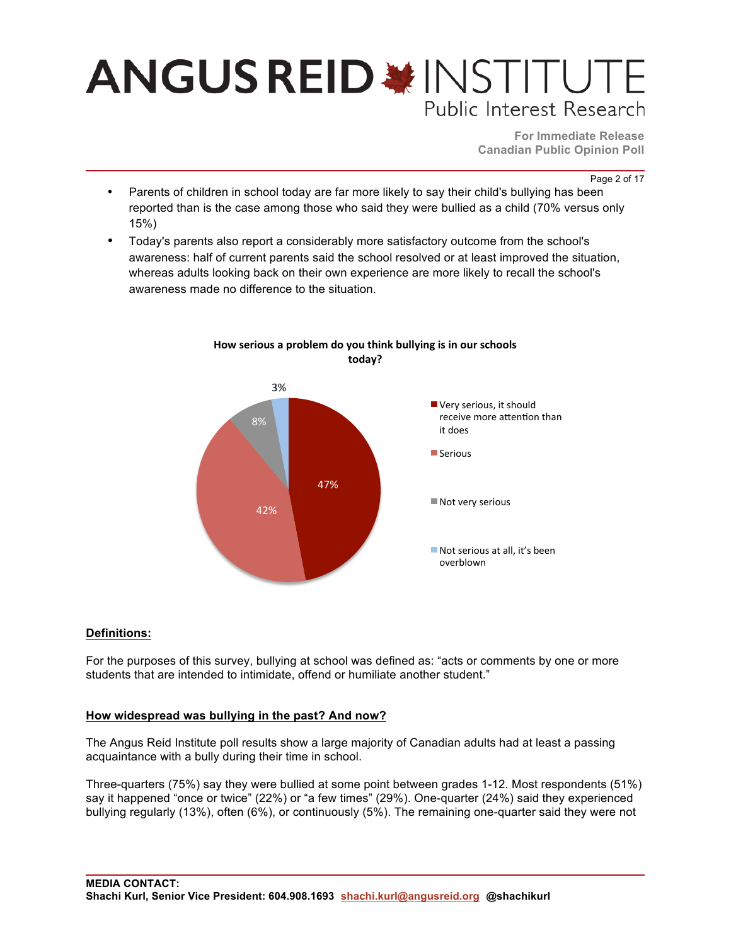**For Immediate Release Canadian Public Opinion Poll**

Page 2 of 17

- Parents of children in school today are far more likely to say their child's bullying has been reported than is the case among those who said they were bullied as a child (70% versus only 15%)
- Today's parents also report a considerably more satisfactory outcome from the school's awareness: half of current parents said the school resolved or at least improved the situation, whereas adults looking back on their own experience are more likely to recall the school's awareness made no difference to the situation.

How serious a problem do you think bullying is in our schools



**Definitions:** 

For the purposes of this survey, bullying at school was defined as: "acts or comments by one or more students that are intended to intimidate, offend or humiliate another student."

### **How widespread was bullying in the past? And now?**

The Angus Reid Institute poll results show a large majority of Canadian adults had at least a passing acquaintance with a bully during their time in school.

Three-quarters (75%) say they were bullied at some point between grades 1-12. Most respondents (51%) say it happened "once or twice" (22%) or "a few times" (29%). One-quarter (24%) said they experienced bullying regularly (13%), often (6%), or continuously (5%). The remaining one-quarter said they were not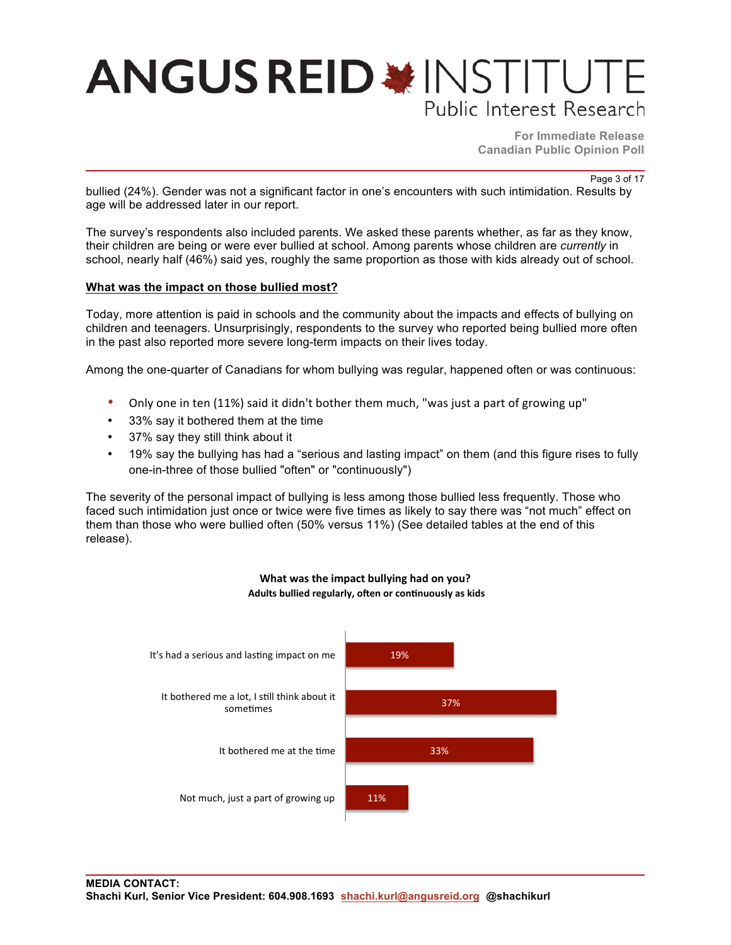**For Immediate Release Canadian Public Opinion Poll**

Page 3 of 17

bullied (24%). Gender was not a significant factor in one's encounters with such intimidation. Results by age will be addressed later in our report.

The survey's respondents also included parents. We asked these parents whether, as far as they know, their children are being or were ever bullied at school. Among parents whose children are *currently* in school, nearly half (46%) said yes, roughly the same proportion as those with kids already out of school.

### **What was the impact on those bullied most?**

Today, more attention is paid in schools and the community about the impacts and effects of bullying on children and teenagers. Unsurprisingly, respondents to the survey who reported being bullied more often in the past also reported more severe long-term impacts on their lives today.

Among the one-quarter of Canadians for whom bullying was regular, happened often or was continuous:

- Only one in ten  $(11%)$  said it didn't bother them much, "was just a part of growing up"
- 33% say it bothered them at the time
- 37% say they still think about it
- 19% say the bullying has had a "serious and lasting impact" on them (and this figure rises to fully one-in-three of those bullied "often" or "continuously")

The severity of the personal impact of bullying is less among those bullied less frequently. Those who faced such intimidation just once or twice were five times as likely to say there was "not much" effect on them than those who were bullied often (50% versus 11%) (See detailed tables at the end of this release).



#### **What was the impact bullying had on you?** Adults bullied regularly, often or continuously as kids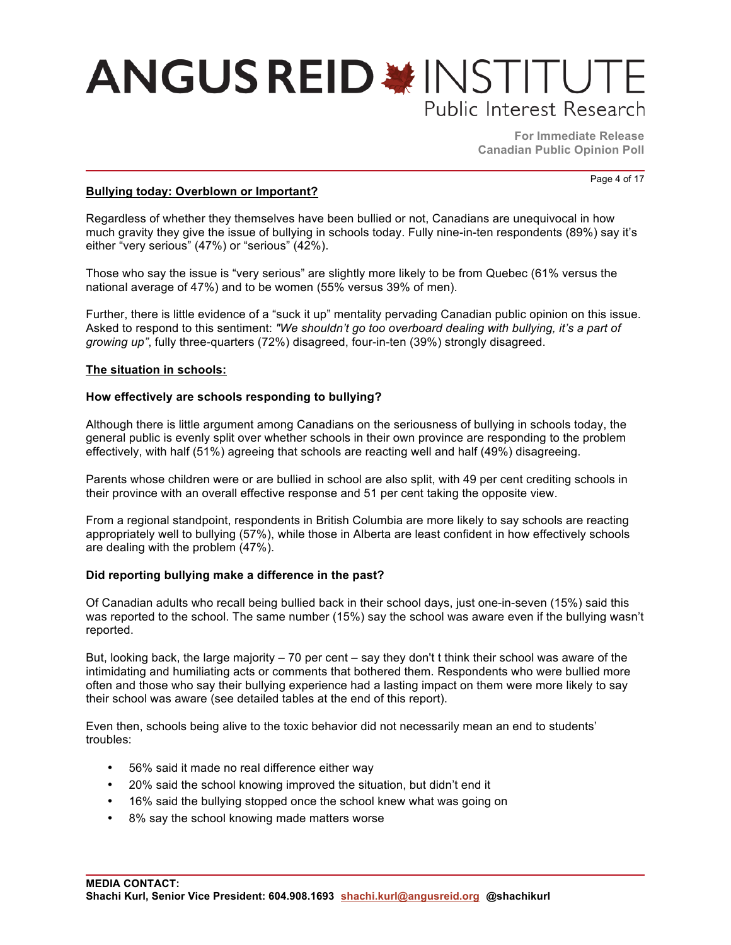**For Immediate Release Canadian Public Opinion Poll**

Page 4 of 17

**Bullying today: Overblown or Important?**

Regardless of whether they themselves have been bullied or not, Canadians are unequivocal in how much gravity they give the issue of bullying in schools today. Fully nine-in-ten respondents (89%) say it's either "very serious" (47%) or "serious" (42%).

Those who say the issue is "very serious" are slightly more likely to be from Quebec (61% versus the national average of 47%) and to be women (55% versus 39% of men).

Further, there is little evidence of a "suck it up" mentality pervading Canadian public opinion on this issue. Asked to respond to this sentiment: *"We shouldn't go too overboard dealing with bullying, it's a part of growing up"*, fully three-quarters (72%) disagreed, four-in-ten (39%) strongly disagreed.

### **The situation in schools:**

### **How effectively are schools responding to bullying?**

Although there is little argument among Canadians on the seriousness of bullying in schools today, the general public is evenly split over whether schools in their own province are responding to the problem effectively, with half (51%) agreeing that schools are reacting well and half (49%) disagreeing.

Parents whose children were or are bullied in school are also split, with 49 per cent crediting schools in their province with an overall effective response and 51 per cent taking the opposite view.

From a regional standpoint, respondents in British Columbia are more likely to say schools are reacting appropriately well to bullying (57%), while those in Alberta are least confident in how effectively schools are dealing with the problem (47%).

### **Did reporting bullying make a difference in the past?**

Of Canadian adults who recall being bullied back in their school days, just one-in-seven (15%) said this was reported to the school. The same number (15%) say the school was aware even if the bullying wasn't reported.

But, looking back, the large majority – 70 per cent – say they don't t think their school was aware of the intimidating and humiliating acts or comments that bothered them. Respondents who were bullied more often and those who say their bullying experience had a lasting impact on them were more likely to say their school was aware (see detailed tables at the end of this report).

Even then, schools being alive to the toxic behavior did not necessarily mean an end to students' troubles:

- 56% said it made no real difference either way
- 20% said the school knowing improved the situation, but didn't end it
- 16% said the bullying stopped once the school knew what was going on
- 8% say the school knowing made matters worse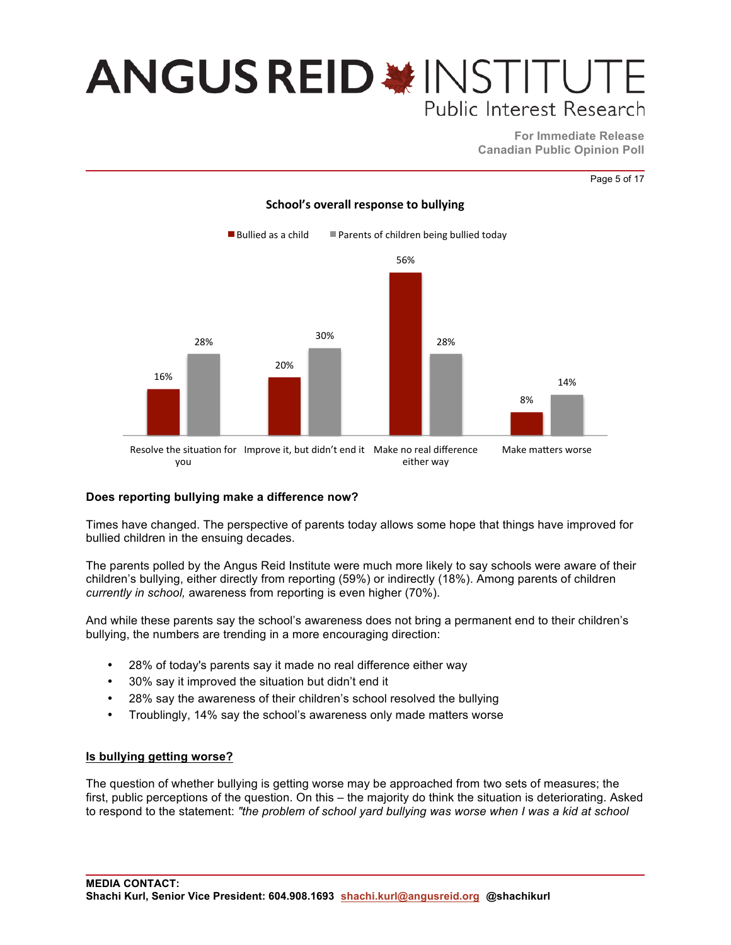**For Immediate Release Canadian Public Opinion Poll**

Page 5 of 17



### **School's overall response to bullying**

### **Does reporting bullying make a difference now?**

Times have changed. The perspective of parents today allows some hope that things have improved for bullied children in the ensuing decades.

The parents polled by the Angus Reid Institute were much more likely to say schools were aware of their children's bullying, either directly from reporting (59%) or indirectly (18%). Among parents of children *currently in school,* awareness from reporting is even higher (70%).

And while these parents say the school's awareness does not bring a permanent end to their children's bullying, the numbers are trending in a more encouraging direction:

- 28% of today's parents say it made no real difference either way
- 30% say it improved the situation but didn't end it
- 28% say the awareness of their children's school resolved the bullying
- Troublingly, 14% say the school's awareness only made matters worse

### **Is bullying getting worse?**

The question of whether bullying is getting worse may be approached from two sets of measures; the first, public perceptions of the question. On this – the majority do think the situation is deteriorating. Asked to respond to the statement: *"the problem of school yard bullying was worse when I was a kid at school*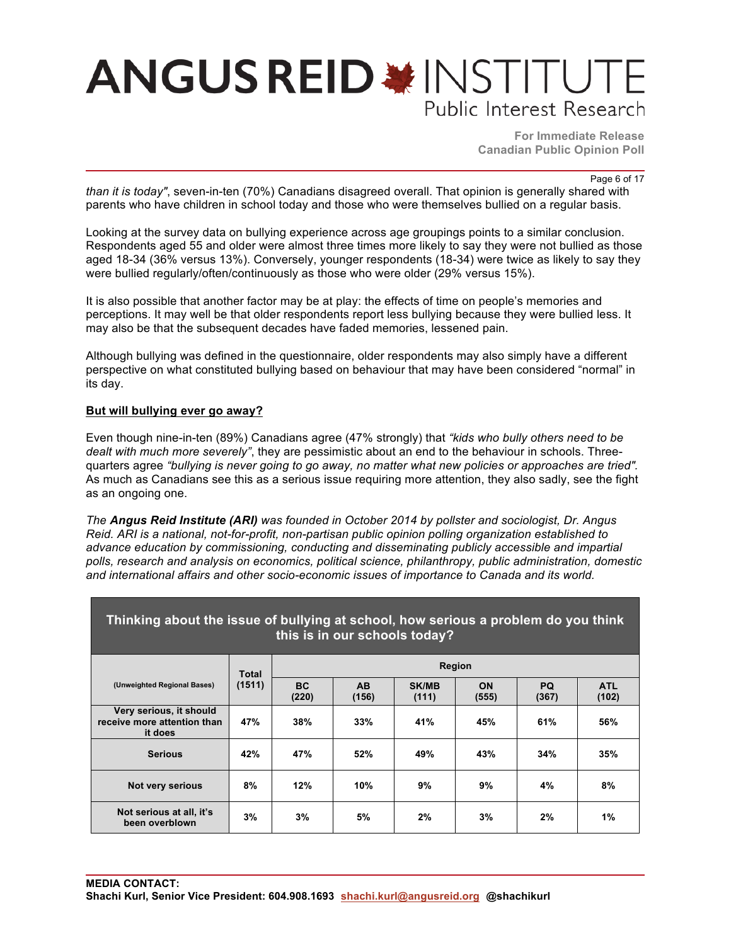**For Immediate Release Canadian Public Opinion Poll**

Page 6 of 17

*than it is today"*, seven-in-ten (70%) Canadians disagreed overall. That opinion is generally shared with parents who have children in school today and those who were themselves bullied on a regular basis.

Looking at the survey data on bullying experience across age groupings points to a similar conclusion. Respondents aged 55 and older were almost three times more likely to say they were not bullied as those aged 18-34 (36% versus 13%). Conversely, younger respondents (18-34) were twice as likely to say they were bullied regularly/often/continuously as those who were older (29% versus 15%).

It is also possible that another factor may be at play: the effects of time on people's memories and perceptions. It may well be that older respondents report less bullying because they were bullied less. It may also be that the subsequent decades have faded memories, lessened pain.

Although bullying was defined in the questionnaire, older respondents may also simply have a different perspective on what constituted bullying based on behaviour that may have been considered "normal" in its day.

### **But will bullying ever go away?**

Even though nine-in-ten (89%) Canadians agree (47% strongly) that *"kids who bully others need to be dealt with much more severely"*, they are pessimistic about an end to the behaviour in schools. Threequarters agree *"bullying is never going to go away, no matter what new policies or approaches are tried".*  As much as Canadians see this as a serious issue requiring more attention, they also sadly, see the fight as an ongoing one.

*The Angus Reid Institute (ARI) was founded in October 2014 by pollster and sociologist, Dr. Angus Reid. ARI is a national, not-for-profit, non-partisan public opinion polling organization established to advance education by commissioning, conducting and disseminating publicly accessible and impartial polls, research and analysis on economics, political science, philanthropy, public administration, domestic and international affairs and other socio-economic issues of importance to Canada and its world.*

| Thinking about the issue of bullying at school, how serious a problem do you think<br>this is in our schools today? |        |                    |                    |                       |               |                    |                     |  |  |  |  |
|---------------------------------------------------------------------------------------------------------------------|--------|--------------------|--------------------|-----------------------|---------------|--------------------|---------------------|--|--|--|--|
|                                                                                                                     | Total  |                    |                    |                       | <b>Region</b> |                    |                     |  |  |  |  |
| (Unweighted Regional Bases)                                                                                         | (1511) | <b>BC</b><br>(220) | <b>AB</b><br>(156) | <b>SK/MB</b><br>(111) | ON<br>(555)   | <b>PQ</b><br>(367) | <b>ATL</b><br>(102) |  |  |  |  |
| Very serious, it should<br>receive more attention than<br>it does                                                   | 47%    | 38%                | 33%                | 41%                   | 45%           | 61%                | 56%                 |  |  |  |  |
| <b>Serious</b>                                                                                                      | 42%    | 47%                | 52%                | 49%                   | 43%           | 34%                | 35%                 |  |  |  |  |
| Not very serious                                                                                                    | 8%     | 12%                | 10%                | 9%                    | 9%            | 4%                 | 8%                  |  |  |  |  |
| Not serious at all, it's<br>been overblown                                                                          | 3%     | 3%                 | 5%                 | 2%                    | 3%            | 2%                 | 1%                  |  |  |  |  |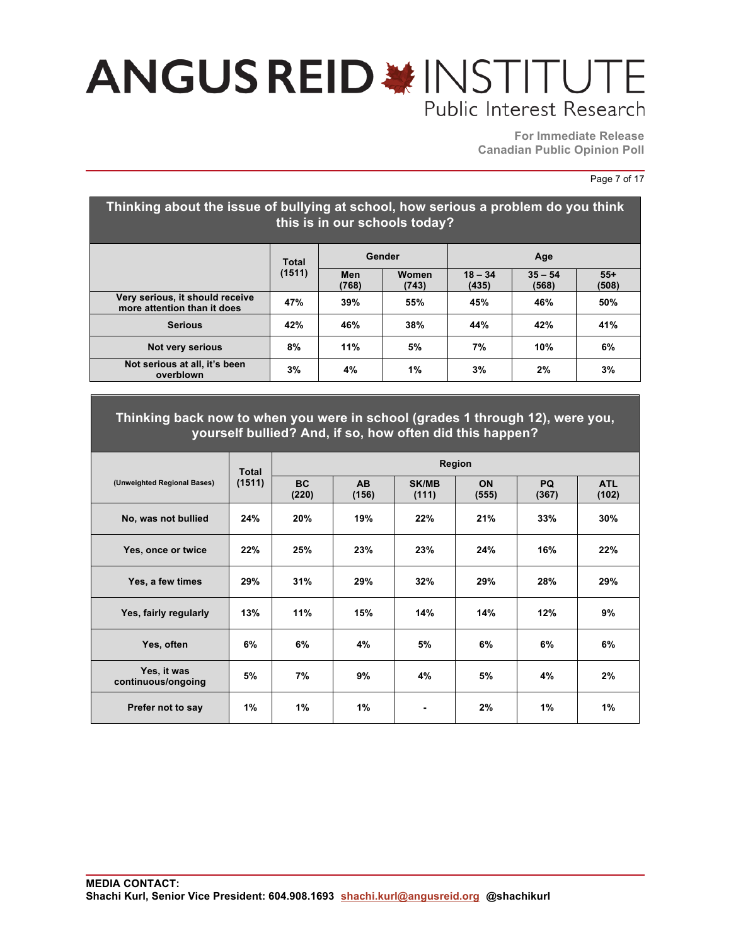**For Immediate Release Canadian Public Opinion Poll**

Page 7 of 17

| Thinking about the issue of bullying at school, how serious a problem do you think<br>this is in our schools today? |              |              |                |                    |                    |                |  |  |  |  |  |  |
|---------------------------------------------------------------------------------------------------------------------|--------------|--------------|----------------|--------------------|--------------------|----------------|--|--|--|--|--|--|
|                                                                                                                     | <b>Total</b> |              | Gender         | Age                |                    |                |  |  |  |  |  |  |
|                                                                                                                     | (1511)       | Men<br>(768) | Women<br>(743) | $18 - 34$<br>(435) | $35 - 54$<br>(568) | $55+$<br>(508) |  |  |  |  |  |  |
| Very serious, it should receive<br>more attention than it does                                                      | 47%          | 39%          | 55%            | 45%                | 46%                | 50%            |  |  |  |  |  |  |
| <b>Serious</b>                                                                                                      | 42%          | 46%          | 38%            | 44%                | 42%                | 41%            |  |  |  |  |  |  |
| <b>Not very serious</b>                                                                                             | 8%           | 11%          | 5%             | 7%                 | 10%                | 6%             |  |  |  |  |  |  |
| Not serious at all, it's been<br>overblown                                                                          | 3%           | 4%           | 1%             | 3%                 | 2%                 | 3%             |  |  |  |  |  |  |

### **Thinking back now to when you were in school (grades 1 through 12), were you, yourself bullied? And, if so, how often did this happen?**

|                                   | <b>Total</b> | Region             |                    |                       |                    |             |                     |  |
|-----------------------------------|--------------|--------------------|--------------------|-----------------------|--------------------|-------------|---------------------|--|
| (Unweighted Regional Bases)       | (1511)       | <b>BC</b><br>(220) | <b>AB</b><br>(156) | <b>SK/MB</b><br>(111) | <b>ON</b><br>(555) | PQ<br>(367) | <b>ATL</b><br>(102) |  |
| No, was not bullied               | 24%          | 20%                | 19%                | 22%                   | 21%                | 33%         | 30%                 |  |
| Yes, once or twice                | 22%          | 25%                | 23%                | 23%                   | 24%                | 16%         | 22%                 |  |
| Yes, a few times                  | 29%          | 31%                | 29%                | 32%                   | 29%                | 28%         | 29%                 |  |
| Yes, fairly regularly             | 13%          | 11%                | 15%                | 14%                   | 14%                | 12%         | 9%                  |  |
| Yes, often                        | 6%           | 6%                 | 4%                 | 5%                    | 6%                 | 6%          | 6%                  |  |
| Yes, it was<br>continuous/ongoing | 5%           | 7%                 | 9%                 | 4%                    | 5%                 | 4%          | 2%                  |  |
| Prefer not to say                 | 1%           | 1%                 | $1\%$              | ٠                     | 2%                 | 1%          | 1%                  |  |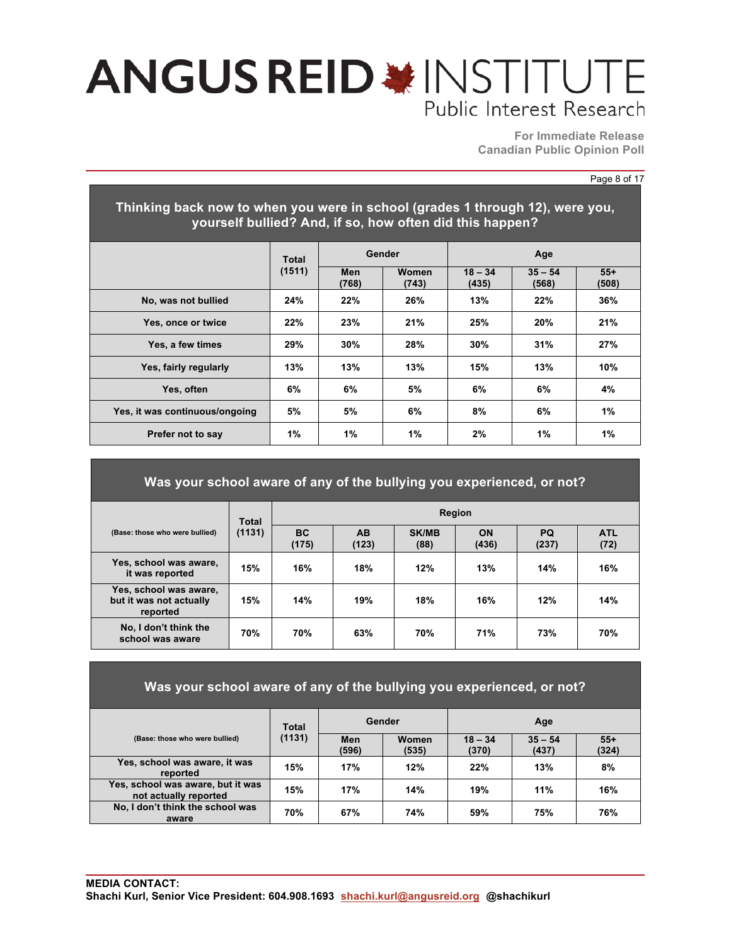**For Immediate Release Canadian Public Opinion Poll**

#### Page 8 of 17

| Thinking back now to when you were in school (grades 1 through 12), were you,<br>yourself bullied? And, if so, how often did this happen? |        |              |                |                    |                    |                |  |  |  |  |  |  |
|-------------------------------------------------------------------------------------------------------------------------------------------|--------|--------------|----------------|--------------------|--------------------|----------------|--|--|--|--|--|--|
|                                                                                                                                           | Total  | Gender       |                |                    | Age                |                |  |  |  |  |  |  |
|                                                                                                                                           | (1511) | Men<br>(768) | Women<br>(743) | $18 - 34$<br>(435) | $35 - 54$<br>(568) | $55+$<br>(508) |  |  |  |  |  |  |
| No, was not bullied                                                                                                                       | 24%    | 22%          | 26%            | 13%                | 22%                | 36%            |  |  |  |  |  |  |
| Yes, once or twice                                                                                                                        | 22%    | 23%          | 21%            | 25%                | 20%                | 21%            |  |  |  |  |  |  |
| Yes, a few times                                                                                                                          | 29%    | 30%          | 28%            | 30%                | 31%                | 27%            |  |  |  |  |  |  |
| Yes, fairly regularly                                                                                                                     | 13%    | 13%          | 13%            | 15%                | 13%                | 10%            |  |  |  |  |  |  |
| Yes, often                                                                                                                                | 6%     | 6%           | 5%             | 6%                 | 6%                 | 4%             |  |  |  |  |  |  |
| Yes, it was continuous/ongoing                                                                                                            | 5%     | 5%           | 6%             | 8%                 | 6%                 | 1%             |  |  |  |  |  |  |
| Prefer not to say                                                                                                                         | 1%     | 1%           | 1%             | 2%                 | 1%                 | 1%             |  |  |  |  |  |  |

### **Was your school aware of any of the bullying you experienced, or not?**

| (Base: those who were bullied)                                | <b>Total</b> | <b>Region</b>      |                    |                      |             |                    |                    |  |
|---------------------------------------------------------------|--------------|--------------------|--------------------|----------------------|-------------|--------------------|--------------------|--|
|                                                               | (1131)       | <b>BC</b><br>(175) | <b>AB</b><br>(123) | <b>SK/MB</b><br>(88) | ON<br>(436) | <b>PQ</b><br>(237) | <b>ATL</b><br>(72) |  |
| Yes, school was aware,<br>it was reported                     | 15%          | 16%                | 18%                | 12%                  | 13%         | 14%                | 16%                |  |
| Yes, school was aware,<br>but it was not actually<br>reported | 15%          | 14%                | 19%                | 18%                  | 16%         | 12%                | 14%                |  |
| No, I don't think the<br>school was aware                     | 70%          | <b>70%</b>         | 63%                | 70%                  | 71%         | 73%                | 70%                |  |

| Was your school aware of any of the bullying you experienced, or not? |        |              |                |                    |                    |                |  |  |  |  |  |  |
|-----------------------------------------------------------------------|--------|--------------|----------------|--------------------|--------------------|----------------|--|--|--|--|--|--|
|                                                                       | Total  |              | Gender         | Age                |                    |                |  |  |  |  |  |  |
| (Base: those who were bullied)                                        | (1131) | Men<br>(596) | Women<br>(535) | $18 - 34$<br>(370) | $35 - 54$<br>(437) | $55+$<br>(324) |  |  |  |  |  |  |
| Yes, school was aware, it was<br>reported                             | 15%    | 17%          | 12%            | 22%                | 13%                | 8%             |  |  |  |  |  |  |
| Yes, school was aware, but it was<br>not actually reported            | 15%    | 17%          | 14%            | 19%                | 11%                | 16%            |  |  |  |  |  |  |
| No, I don't think the school was<br>aware                             | 70%    | 67%          | 74%            | 59%                | 75%                | 76%            |  |  |  |  |  |  |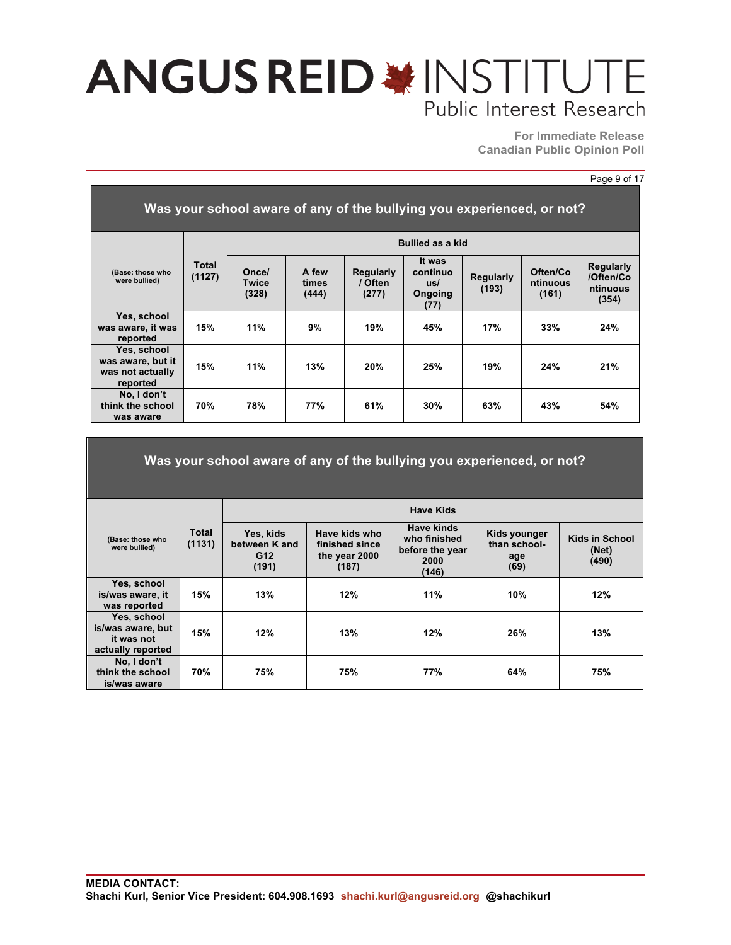**For Immediate Release Canadian Public Opinion Poll**

#### Page 9 of 17

| Was your school aware of any of the bullying you experienced, or not? |                 |                                |                         |                                      |                                              |                           |                               |                                                    |  |  |
|-----------------------------------------------------------------------|-----------------|--------------------------------|-------------------------|--------------------------------------|----------------------------------------------|---------------------------|-------------------------------|----------------------------------------------------|--|--|
|                                                                       |                 | <b>Bullied as a kid</b>        |                         |                                      |                                              |                           |                               |                                                    |  |  |
| (Base: those who<br>were bullied)                                     | Total<br>(1127) | Once/<br><b>Twice</b><br>(328) | A few<br>times<br>(444) | <b>Regularly</b><br>/ Often<br>(277) | It was<br>continuo<br>us/<br>Ongoing<br>(77) | <b>Regularly</b><br>(193) | Often/Co<br>ntinuous<br>(161) | <b>Regularly</b><br>/Often/Co<br>ntinuous<br>(354) |  |  |
| Yes, school<br>was aware, it was<br>reported                          | 15%             | 11%                            | 9%                      | 19%                                  | 45%                                          | 17%                       | 33%                           | 24%                                                |  |  |
| Yes, school<br>was aware, but it<br>was not actually<br>reported      | 15%             | 11%                            | 13%                     | 20%                                  | 25%                                          | 19%                       | 24%                           | 21%                                                |  |  |
| No, I don't<br>think the school<br>was aware                          | 70%             | 78%                            | 77%                     | 61%                                  | 30%                                          | 63%                       | 43%                           | 54%                                                |  |  |

| Was your school aware of any of the bullying you experienced, or not? |                        |                                                        |                                                           |                                                                       |                                             |                                  |  |  |  |  |  |
|-----------------------------------------------------------------------|------------------------|--------------------------------------------------------|-----------------------------------------------------------|-----------------------------------------------------------------------|---------------------------------------------|----------------------------------|--|--|--|--|--|
|                                                                       |                        |                                                        |                                                           | <b>Have Kids</b>                                                      |                                             |                                  |  |  |  |  |  |
| (Base: those who<br>were bullied)                                     | <b>Total</b><br>(1131) | Yes, kids<br>between K and<br>G <sub>12</sub><br>(191) | Have kids who<br>finished since<br>the year 2000<br>(187) | <b>Have kinds</b><br>who finished<br>before the year<br>2000<br>(146) | Kids younger<br>than school-<br>age<br>(69) | Kids in School<br>(Net)<br>(490) |  |  |  |  |  |
| Yes, school<br>is/was aware, it<br>was reported                       | 15%                    | 13%                                                    | 12%                                                       | 11%                                                                   | 10%                                         | 12%                              |  |  |  |  |  |
| Yes, school<br>is/was aware, but<br>it was not<br>actually reported   | 15%                    | 12%                                                    | 13%                                                       | 12%                                                                   | 26%                                         | 13%                              |  |  |  |  |  |
| No, I don't<br>think the school<br>is/was aware                       | 70%                    | 75%                                                    | 75%                                                       | 77%                                                                   | 64%                                         | 75%                              |  |  |  |  |  |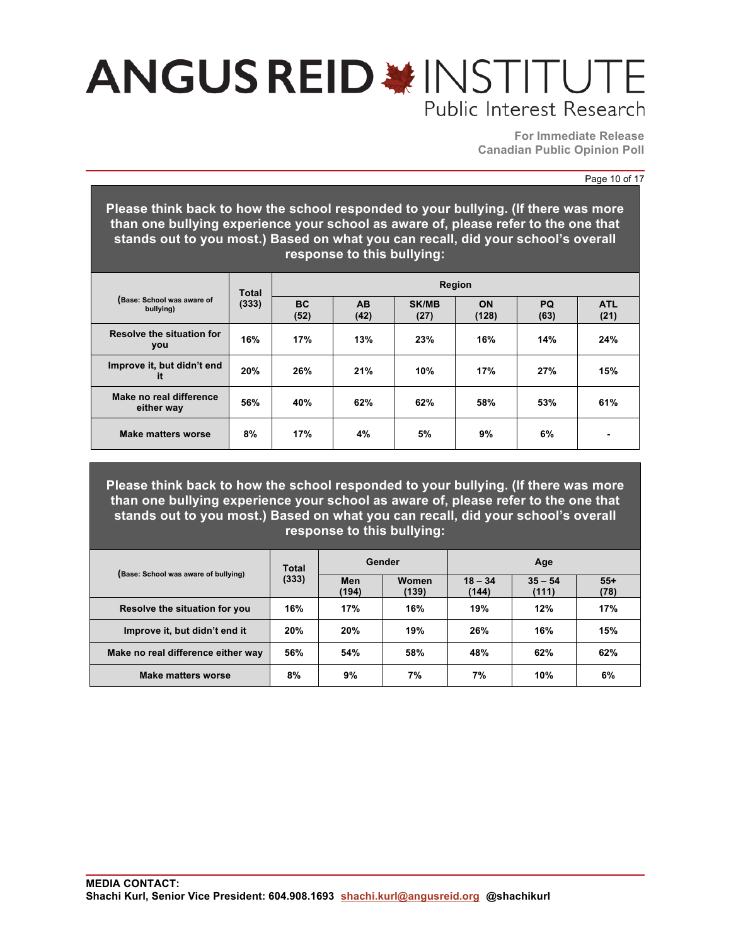**For Immediate Release Canadian Public Opinion Poll**

#### Page 10 of 17

**Please think back to how the school responded to your bullying. (If there was more than one bullying experience your school as aware of, please refer to the one that stands out to you most.) Based on what you can recall, did your school's overall response to this bullying:**

| (Base: School was aware of<br>bullying) | <b>Total</b> | Region            |                   |                      |                    |                   |                    |  |  |
|-----------------------------------------|--------------|-------------------|-------------------|----------------------|--------------------|-------------------|--------------------|--|--|
|                                         | (333)        | <b>BC</b><br>(52) | <b>AB</b><br>(42) | <b>SK/MB</b><br>(27) | <b>ON</b><br>(128) | <b>PQ</b><br>(63) | <b>ATL</b><br>(21) |  |  |
| Resolve the situation for<br>you        | 16%          | 17%               | 13%               | 23%                  | 16%                | 14%               | 24%                |  |  |
| Improve it, but didn't end<br>it        | 20%          | 26%               | 21%               | 10%                  | 17%                | 27%               | 15%                |  |  |
| Make no real difference<br>either way   | 56%          | 40%               | 62%               | 62%                  | 58%                | 53%               | 61%                |  |  |
| Make matters worse                      | 8%           | 17%               | 4%                | 5%                   | 9%                 | 6%                |                    |  |  |

**Please think back to how the school responded to your bullying. (If there was more than one bullying experience your school as aware of, please refer to the one that stands out to you most.) Based on what you can recall, did your school's overall response to this bullying:**

|                                      | Total | Gender       |                | Age                |                    |               |
|--------------------------------------|-------|--------------|----------------|--------------------|--------------------|---------------|
| (Base: School was aware of bullying) | (333) | Men<br>(194) | Women<br>(139) | $18 - 34$<br>(144) | $35 - 54$<br>(111) | $55+$<br>(78) |
| Resolve the situation for you        | 16%   | 17%          | 16%            | 19%                | 12%                | 17%           |
| Improve it, but didn't end it        | 20%   | 20%          | 19%            | 26%                | 16%                | 15%           |
| Make no real difference either way   | 56%   | 54%          | 58%            | 48%                | 62%                | 62%           |
| Make matters worse                   | 8%    | 9%           | 7%             | 7%                 | 10%                | 6%            |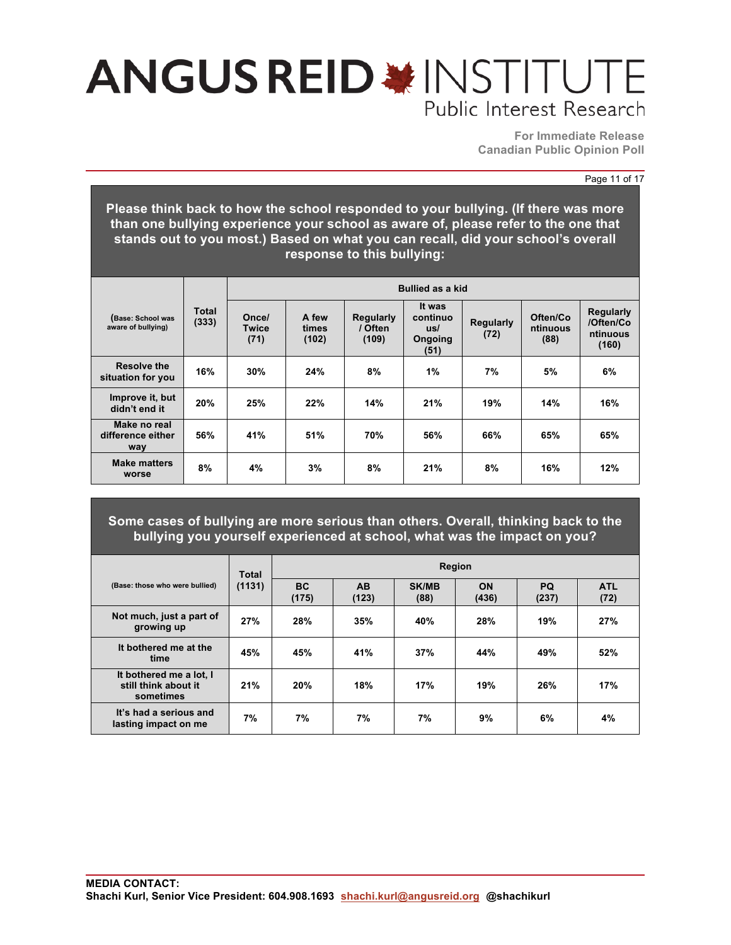**For Immediate Release Canadian Public Opinion Poll**

#### Page 11 of 17

**Please think back to how the school responded to your bullying. (If there was more than one bullying experience your school as aware of, please refer to the one that stands out to you most.) Based on what you can recall, did your school's overall response to this bullying:**

|                                          |                | <b>Bullied as a kid</b>       |                         |                                      |                                              |                          |                              |                                                    |  |  |
|------------------------------------------|----------------|-------------------------------|-------------------------|--------------------------------------|----------------------------------------------|--------------------------|------------------------------|----------------------------------------------------|--|--|
| (Base: School was<br>aware of bullying)  | Total<br>(333) | Once/<br><b>Twice</b><br>(71) | A few<br>times<br>(102) | <b>Regularly</b><br>/ Often<br>(109) | It was<br>continuo<br>us/<br>Ongoing<br>(51) | <b>Regularly</b><br>(72) | Often/Co<br>ntinuous<br>(88) | <b>Regularly</b><br>/Often/Co<br>ntinuous<br>(160) |  |  |
| Resolve the<br>situation for you         | 16%            | 30%                           | 24%                     | 8%                                   | 1%                                           | 7%                       | 5%                           | 6%                                                 |  |  |
| Improve it, but<br>didn't end it         | 20%            | 25%                           | 22%                     | 14%                                  | 21%                                          | 19%                      | 14%                          | 16%                                                |  |  |
| Make no real<br>difference either<br>way | 56%            | 41%                           | 51%                     | 70%                                  | 56%                                          | 66%                      | 65%                          | 65%                                                |  |  |
| <b>Make matters</b><br>worse             | 8%             | 4%                            | 3%                      | 8%                                   | 21%                                          | 8%                       | 16%                          | 12%                                                |  |  |

**Some cases of bullying are more serious than others. Overall, thinking back to the bullying you yourself experienced at school, what was the impact on you?**

| (Base: those who were bullied)                               | <b>Total</b> | <b>Region</b>      |                         |                      |                    |                    |                    |  |  |
|--------------------------------------------------------------|--------------|--------------------|-------------------------|----------------------|--------------------|--------------------|--------------------|--|--|
|                                                              | (1131)       | <b>BC</b><br>(175) | A <sub>B</sub><br>(123) | <b>SK/MB</b><br>(88) | <b>ON</b><br>(436) | <b>PQ</b><br>(237) | <b>ATL</b><br>(72) |  |  |
| Not much, just a part of<br>growing up                       | 27%          | 28%                | 35%                     | 40%                  | 28%                | 19%                | 27%                |  |  |
| It bothered me at the<br>time                                | 45%          | 45%                | 41%                     | 37%                  | 44%                | 49%                | 52%                |  |  |
| It bothered me a lot, I<br>still think about it<br>sometimes | 21%          | 20%                | 18%                     | 17%                  | 19%                | 26%                | 17%                |  |  |
| It's had a serious and<br>lasting impact on me               | 7%           | 7%                 | 7%                      | 7%                   | 9%                 | 6%                 | 4%                 |  |  |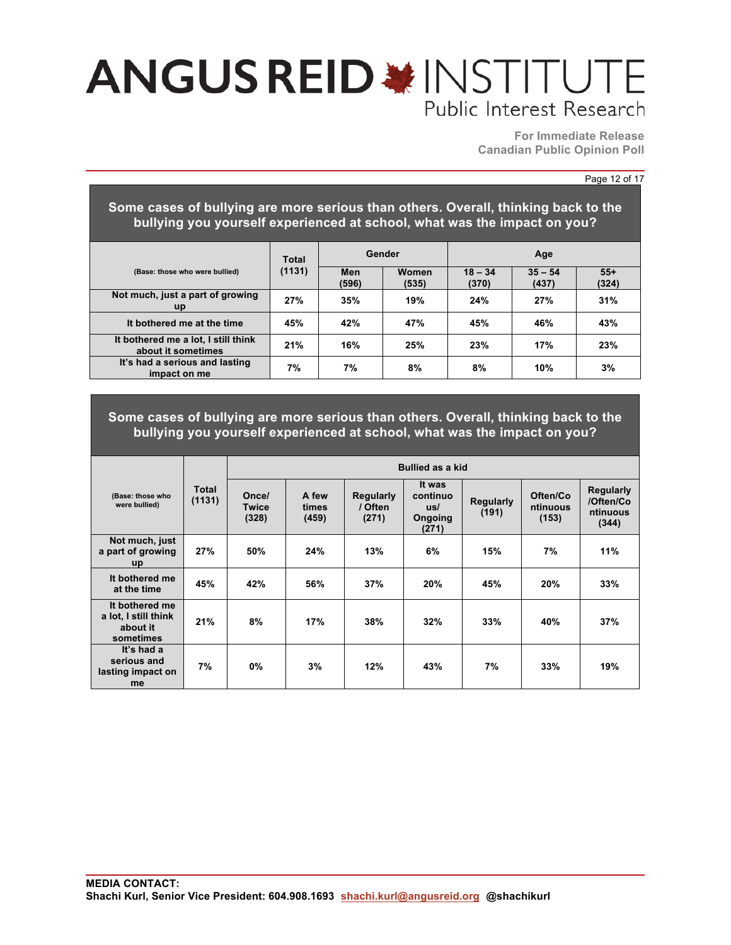**For Immediate Release Canadian Public Opinion Poll**

#### Page 12 of 17

### **Some cases of bullying are more serious than others. Overall, thinking back to the bullying you yourself experienced at school, what was the impact on you?**

|                                                           | <b>Total</b><br>(1131) | Gender       |                | Age                |                    |                |
|-----------------------------------------------------------|------------------------|--------------|----------------|--------------------|--------------------|----------------|
| (Base: those who were bullied)                            |                        | Men<br>(596) | Women<br>(535) | $18 - 34$<br>(370) | $35 - 54$<br>(437) | $55+$<br>(324) |
| Not much, just a part of growing<br><b>up</b>             | 27%                    | 35%          | 19%            | 24%                | 27%                | 31%            |
| It bothered me at the time                                | 45%                    | 42%          | 47%            | 45%                | 46%                | 43%            |
| It bothered me a lot, I still think<br>about it sometimes | 21%                    | 16%          | 25%            | 23%                | 17%                | 23%            |
| It's had a serious and lasting<br>impact on me            | 7%                     | 7%           | 8%             | 8%                 | 10%                | 3%             |

### **Some cases of bullying are more serious than others. Overall, thinking back to the bullying you yourself experienced at school, what was the impact on you?**

|                                                                 |                 | <b>Bullied as a kid</b>        |                         |                                      |                                               |                           |                               |                                                    |  |  |  |  |
|-----------------------------------------------------------------|-----------------|--------------------------------|-------------------------|--------------------------------------|-----------------------------------------------|---------------------------|-------------------------------|----------------------------------------------------|--|--|--|--|
| (Base: those who<br>were bullied)                               | Total<br>(1131) | Once/<br><b>Twice</b><br>(328) | A few<br>times<br>(459) | <b>Regularly</b><br>/ Often<br>(271) | It was<br>continuo<br>us/<br>Ongoing<br>(271) | <b>Regularly</b><br>(191) | Often/Co<br>ntinuous<br>(153) | <b>Regularly</b><br>/Often/Co<br>ntinuous<br>(344) |  |  |  |  |
| Not much, just<br>a part of growing<br>up                       | 27%             | 50%                            | 24%                     | 13%                                  | 6%                                            | 15%                       | 7%                            | 11%                                                |  |  |  |  |
| It bothered me<br>at the time                                   | 45%             | 42%                            | 56%                     | 37%                                  | 20%                                           | 45%                       | 20%                           | 33%                                                |  |  |  |  |
| It bothered me<br>a lot, I still think<br>about it<br>sometimes | 21%             | 8%                             | 17%                     | 38%                                  | 32%                                           | 33%                       | 40%                           | 37%                                                |  |  |  |  |
| It's had a<br>serious and<br>lasting impact on<br>me            | 7%              | 0%                             | 3%                      | 12%                                  | 43%                                           | 7%                        | 33%                           | 19%                                                |  |  |  |  |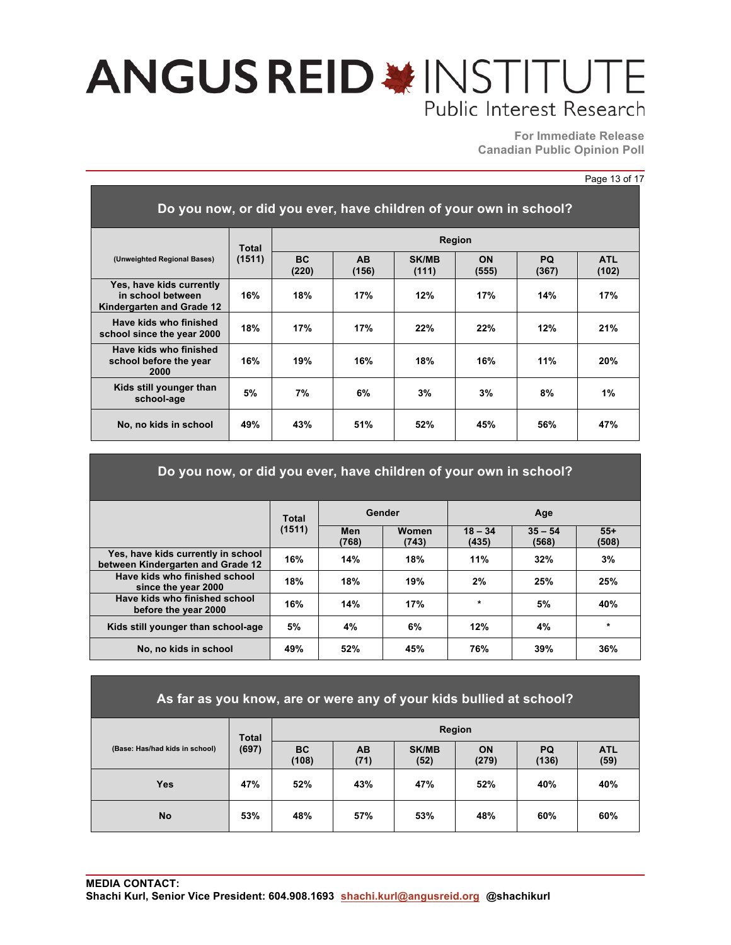**For Immediate Release Canadian Public Opinion Poll**

#### Page 13 of 17

| Do you now, or did you ever, have children of your own in school?          |        |                    |                    |                       |             |              |                     |  |  |
|----------------------------------------------------------------------------|--------|--------------------|--------------------|-----------------------|-------------|--------------|---------------------|--|--|
| (Unweighted Regional Bases)                                                | Total  |                    |                    |                       | Region      |              |                     |  |  |
|                                                                            | (1511) | <b>BC</b><br>(220) | <b>AB</b><br>(156) | <b>SK/MB</b><br>(111) | ON<br>(555) | PQ.<br>(367) | <b>ATL</b><br>(102) |  |  |
| Yes, have kids currently<br>in school between<br>Kindergarten and Grade 12 | 16%    | 18%                | 17%                | 12%                   | 17%         | 14%          | 17%                 |  |  |
| Have kids who finished<br>school since the year 2000                       | 18%    | 17%                | 17%                | 22%                   | 22%         | 12%          | 21%                 |  |  |
| Have kids who finished<br>school before the year<br>2000                   | 16%    | 19%                | 16%                | 18%                   | 16%         | 11%          | 20%                 |  |  |
| Kids still younger than<br>school-age                                      | 5%     | 7%                 | 6%                 | 3%                    | 3%          | 8%           | 1%                  |  |  |
| No, no kids in school                                                      | 49%    | 43%                | 51%                | 52%                   | 45%         | 56%          | 47%                 |  |  |

| Do you now, or did you ever, have children of your own in school?       |                 |              |                       |                    |                    |                |  |  |  |  |
|-------------------------------------------------------------------------|-----------------|--------------|-----------------------|--------------------|--------------------|----------------|--|--|--|--|
|                                                                         | Total<br>(1511) |              | Gender                |                    | Age                |                |  |  |  |  |
|                                                                         |                 | Men<br>(768) | <b>Women</b><br>(743) | $18 - 34$<br>(435) | $35 - 54$<br>(568) | $55+$<br>(508) |  |  |  |  |
| Yes, have kids currently in school<br>between Kindergarten and Grade 12 | 16%             | 14%          | 18%                   | 11%                | 32%                | 3%             |  |  |  |  |
| Have kids who finished school<br>since the year 2000                    | 18%             | 18%          | 19%                   | 2%                 | 25%                | 25%            |  |  |  |  |
| Have kids who finished school<br>before the year 2000                   | 16%             | 14%          | 17%                   | $\star$            | 5%                 | 40%            |  |  |  |  |
| Kids still younger than school-age                                      | 5%              | 4%           | 6%                    | 12%                | 4%                 | $\star$        |  |  |  |  |
| No. no kids in school                                                   | 49%             | 52%          | 45%                   | 76%                | 39%                | 36%            |  |  |  |  |

| As far as you know, are or were any of your kids bullied at school? |              |                    |                   |                      |                    |                    |                    |  |  |
|---------------------------------------------------------------------|--------------|--------------------|-------------------|----------------------|--------------------|--------------------|--------------------|--|--|
|                                                                     | <b>Total</b> | <b>Region</b>      |                   |                      |                    |                    |                    |  |  |
| (Base: Has/had kids in school)                                      | (697)        | <b>BC</b><br>(108) | <b>AB</b><br>(71) | <b>SK/MB</b><br>(52) | <b>ON</b><br>(279) | <b>PQ</b><br>(136) | <b>ATL</b><br>(59) |  |  |
| Yes                                                                 | 47%          | 52%                | 43%               | 47%                  | 52%                | 40%                | 40%                |  |  |

**No 53% 48% 57% 53% 48% 60% 60%**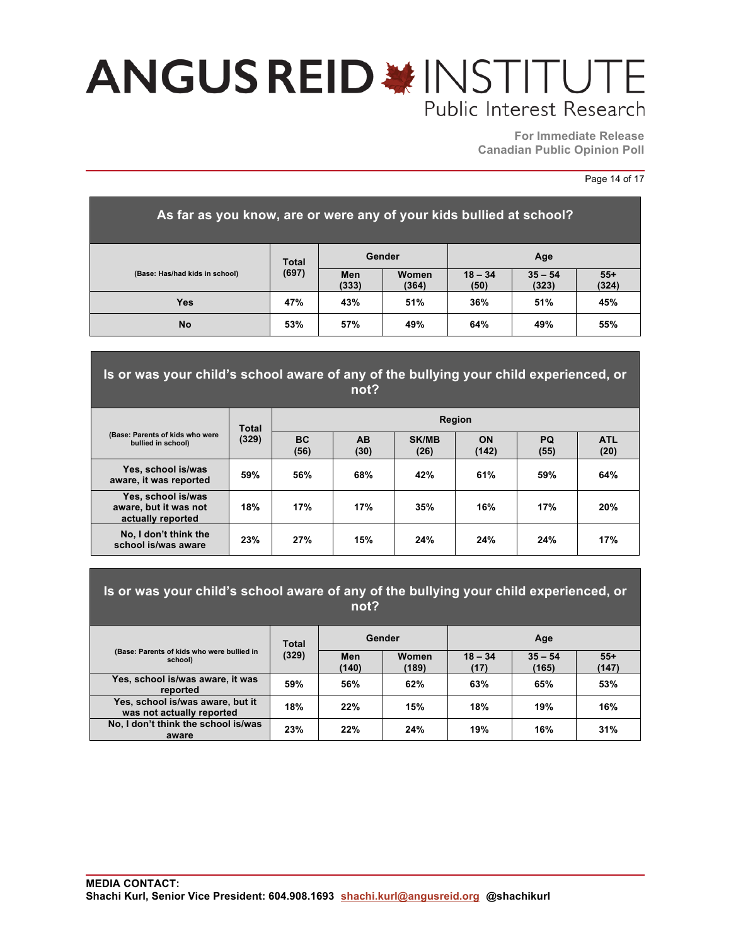**For Immediate Release Canadian Public Opinion Poll**

#### Page 14 of 17

| As far as you know, are or were any of your kids bullied at school? |              |              |                |                   |                    |                |  |  |  |
|---------------------------------------------------------------------|--------------|--------------|----------------|-------------------|--------------------|----------------|--|--|--|
| (Base: Has/had kids in school)                                      | <b>Total</b> | Gender       |                | Age               |                    |                |  |  |  |
|                                                                     | (697)        | Men<br>(333) | Women<br>(364) | $18 - 34$<br>(50) | $35 - 54$<br>(323) | $55+$<br>(324) |  |  |  |
| <b>Yes</b>                                                          | 47%          | 43%          | 51%            | 36%               | 51%                | 45%            |  |  |  |
| <b>No</b>                                                           | 53%          | 57%          | 49%            | 64%               | 49%                | 55%            |  |  |  |

### **Is or was your child's school aware of any of the bullying your child experienced, or not?**

| (Base: Parents of kids who were<br>bullied in school)            | <b>Total</b><br>(329) | <b>Region</b>     |                   |                      |             |                   |                    |  |  |
|------------------------------------------------------------------|-----------------------|-------------------|-------------------|----------------------|-------------|-------------------|--------------------|--|--|
|                                                                  |                       | <b>BC</b><br>(56) | <b>AB</b><br>(30) | <b>SK/MB</b><br>(26) | ON<br>(142) | <b>PQ</b><br>(55) | <b>ATL</b><br>(20) |  |  |
| Yes, school is/was<br>aware, it was reported                     | 59%                   | 56%               | 68%               | 42%                  | 61%         | 59%               | 64%                |  |  |
| Yes, school is/was<br>aware, but it was not<br>actually reported | 18%                   | 17%               | 17%               | 35%                  | 16%         | 17%               | 20%                |  |  |
| No, I don't think the<br>school is/was aware                     | 23%                   | 27%               | 15%               | 24%                  | 24%         | 24%               | 17%                |  |  |

### **Is or was your child's school aware of any of the bullying your child experienced, or not?**

|                                                               | Total                          | Gender |       | Age               |                    |                |
|---------------------------------------------------------------|--------------------------------|--------|-------|-------------------|--------------------|----------------|
| (Base: Parents of kids who were bullied in<br>school)         | (329)<br>Men<br>(140)<br>(189) |        | Women | $18 - 34$<br>(17) | $35 - 54$<br>(165) | $55+$<br>(147) |
| Yes, school is/was aware, it was<br>reported                  | 59%                            | 56%    | 62%   | 63%               | 65%                | 53%            |
| Yes, school is/was aware, but it<br>was not actually reported | 18%                            | 22%    | 15%   | 18%               | 19%                | 16%            |
| No, I don't think the school is/was<br>aware                  | 23%                            | 22%    | 24%   | 19%               | 16%                | 31%            |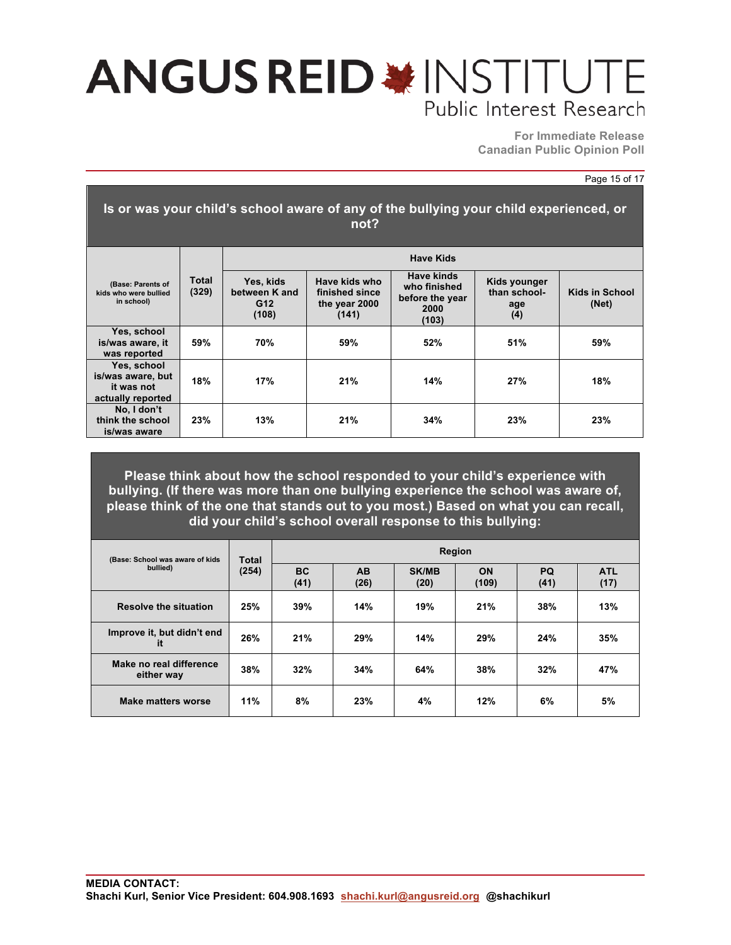**For Immediate Release Canadian Public Opinion Poll**

#### Page 15 of 17

| Is or was your child's school aware of any of the bullying your child experienced, or<br>not? |                |                                            |                                                           |                                                                |                                            |                                |  |  |  |  |  |
|-----------------------------------------------------------------------------------------------|----------------|--------------------------------------------|-----------------------------------------------------------|----------------------------------------------------------------|--------------------------------------------|--------------------------------|--|--|--|--|--|
|                                                                                               |                |                                            |                                                           | <b>Have Kids</b>                                               |                                            |                                |  |  |  |  |  |
| (Base: Parents of<br>kids who were bullied<br>in school)                                      | Total<br>(329) | Yes, kids<br>between K and<br>G12<br>(108) | Have kids who<br>finished since<br>the year 2000<br>(141) | Have kinds<br>who finished<br>before the year<br>2000<br>(103) | Kids younger<br>than school-<br>age<br>(4) | <b>Kids in School</b><br>(Net) |  |  |  |  |  |
| Yes, school<br>is/was aware, it<br>was reported                                               | 59%            | 70%                                        | 59%                                                       | 52%                                                            | 51%                                        | 59%                            |  |  |  |  |  |
| Yes, school<br>is/was aware, but<br>it was not<br>actually reported                           | 18%            | 17%                                        | 21%                                                       | 14%                                                            | 27%                                        | 18%                            |  |  |  |  |  |
| No, I don't<br>think the school<br>is/was aware                                               | 23%            | 13%                                        | 21%                                                       | 34%                                                            | 23%                                        | 23%                            |  |  |  |  |  |

**Please think about how the school responded to your child's experience with bullying. (If there was more than one bullying experience the school was aware of, please think of the one that stands out to you most.) Based on what you can recall, did your child's school overall response to this bullying:**

| (Base: School was aware of kids)<br>bullied) | <b>Total</b><br>(254) | <b>Region</b>     |            |                      |                    |                   |                    |  |  |
|----------------------------------------------|-----------------------|-------------------|------------|----------------------|--------------------|-------------------|--------------------|--|--|
|                                              |                       | <b>BC</b><br>(41) | AB<br>(26) | <b>SK/MB</b><br>(20) | <b>ON</b><br>(109) | <b>PQ</b><br>(41) | <b>ATL</b><br>(17) |  |  |
| <b>Resolve the situation</b>                 | 25%                   | 39%               | 14%        | 19%                  | 21%                | 38%               | 13%                |  |  |
| Improve it, but didn't end<br>it             | 26%                   | 21%               | 29%        | 14%                  | 29%                | 24%               | 35%                |  |  |
| Make no real difference<br>either way        | 38%                   | 32%               | 34%        | 64%                  | 38%                | 32%               | 47%                |  |  |
| <b>Make matters worse</b>                    | 11%                   | 8%                | 23%        | 4%                   | 12%                | 6%                | 5%                 |  |  |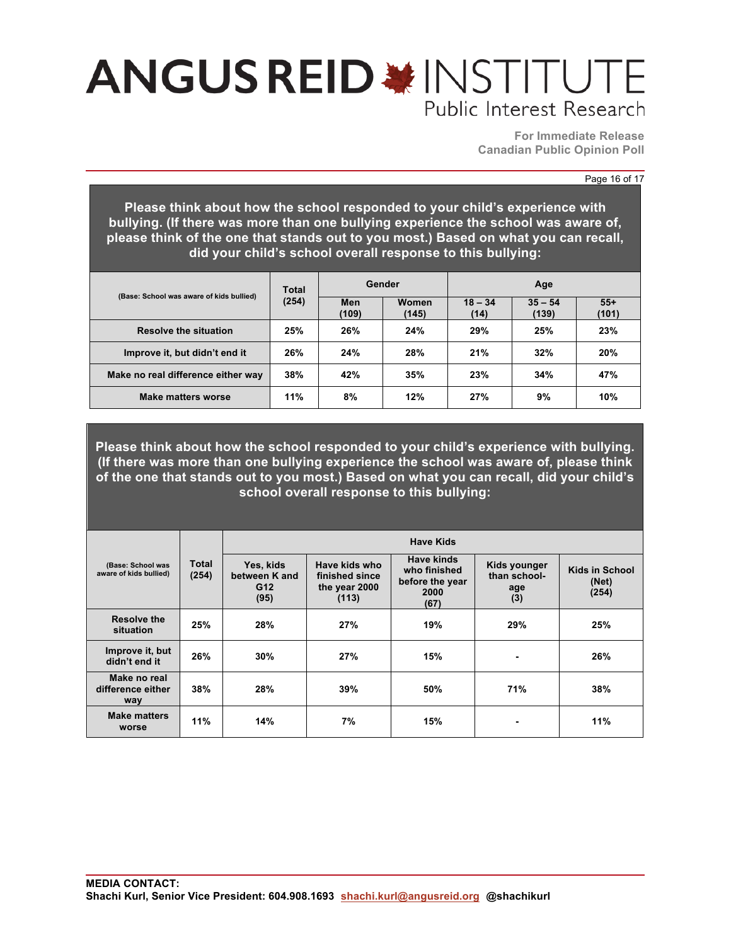**For Immediate Release Canadian Public Opinion Poll**

#### Page 16 of 17

**Please think about how the school responded to your child's experience with bullying. (If there was more than one bullying experience the school was aware of, please think of the one that stands out to you most.) Based on what you can recall, did your child's school overall response to this bullying:**

| (Base: School was aware of kids bullied) | Total<br>(254) |              | Gender         | Age               |                    |                |
|------------------------------------------|----------------|--------------|----------------|-------------------|--------------------|----------------|
|                                          |                | Men<br>(109) | Women<br>(145) | $18 - 34$<br>(14) | $35 - 54$<br>(139) | $55+$<br>(101) |
| <b>Resolve the situation</b>             | 25%            | 26%          | 24%            | 29%               | 25%                | 23%            |
| Improve it, but didn't end it            | 26%            | 24%          | 28%            | 21%               | 32%                | 20%            |
| Make no real difference either way       | 38%            | 42%          | 35%            | 23%               | 34%                | 47%            |
| Make matters worse                       | 11%            | 8%           | 12%            | 27%               | 9%                 | 10%            |

**Please think about how the school responded to your child's experience with bullying. (If there was more than one bullying experience the school was aware of, please think of the one that stands out to you most.) Based on what you can recall, did your child's school overall response to this bullying:**

|                                             |                | <b>Have Kids</b>                                      |                                                           |                                                               |                                            |                                         |  |  |  |  |
|---------------------------------------------|----------------|-------------------------------------------------------|-----------------------------------------------------------|---------------------------------------------------------------|--------------------------------------------|-----------------------------------------|--|--|--|--|
| (Base: School was<br>aware of kids bullied) | Total<br>(254) | Yes, kids<br>between K and<br>G <sub>12</sub><br>(95) | Have kids who<br>finished since<br>the year 2000<br>(113) | Have kinds<br>who finished<br>before the year<br>2000<br>(67) | Kids younger<br>than school-<br>age<br>(3) | <b>Kids in School</b><br>(Net)<br>(254) |  |  |  |  |
| <b>Resolve the</b><br>situation             | 25%            | 28%                                                   | 27%                                                       | 19%                                                           | 29%                                        | 25%                                     |  |  |  |  |
| Improve it, but<br>didn't end it            | 26%            | 30%                                                   | 27%                                                       | 15%                                                           |                                            | 26%                                     |  |  |  |  |
| Make no real<br>difference either<br>way    | 38%            | 28%                                                   | 39%                                                       | 50%                                                           | 71%                                        | 38%                                     |  |  |  |  |
| <b>Make matters</b><br>worse                | 11%            | 14%                                                   | 7%                                                        | 15%                                                           |                                            | 11%                                     |  |  |  |  |